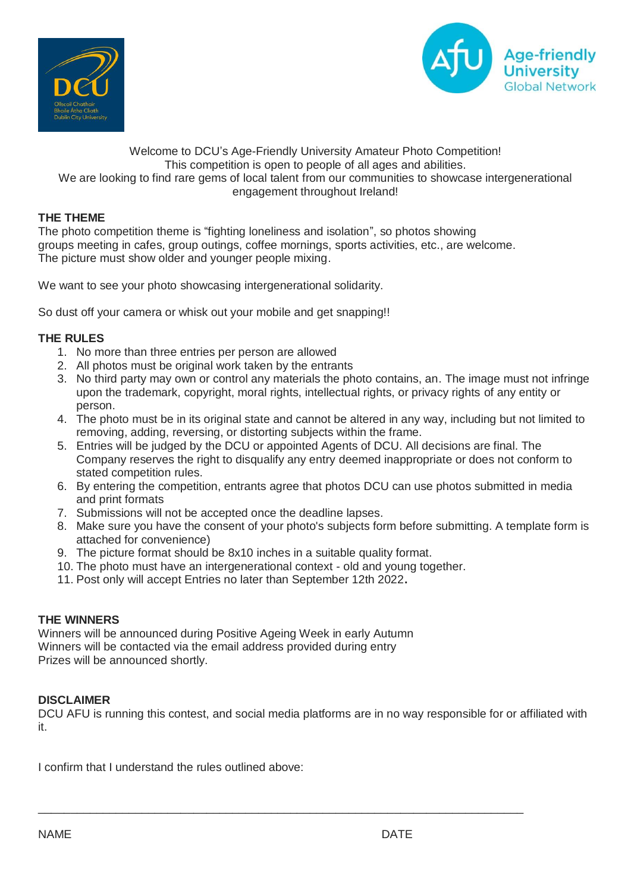



# Welcome to DCU's Age-Friendly University Amateur Photo Competition! This competition is open to people of all ages and abilities. We are looking to find rare gems of local talent from our communities to showcase intergenerational engagement throughout Ireland!

# **THE THEME**

The photo competition theme is "fighting loneliness and isolation", so photos showing groups meeting in cafes, group outings, coffee mornings, sports activities, etc., are welcome. The picture must show older and younger people mixing.

We want to see your photo showcasing intergenerational solidarity.

So dust off your camera or whisk out your mobile and get snapping!!

### **THE RULES**

- 1. No more than three entries per person are allowed
- 2. All photos must be original work taken by the entrants
- 3. No third party may own or control any materials the photo contains, an. The image must not infringe upon the trademark, copyright, moral rights, intellectual rights, or privacy rights of any entity or person.
- 4. The photo must be in its original state and cannot be altered in any way, including but not limited to removing, adding, reversing, or distorting subjects within the frame.
- 5. Entries will be judged by the DCU or appointed Agents of DCU. All decisions are final. The Company reserves the right to disqualify any entry deemed inappropriate or does not conform to stated competition rules.
- 6. By entering the competition, entrants agree that photos DCU can use photos submitted in media and print formats
- 7. Submissions will not be accepted once the deadline lapses.
- 8. Make sure you have the consent of your photo's subjects form before submitting. A template form is attached for convenience)
- 9. The picture format should be 8x10 inches in a suitable quality format.
- 10. The photo must have an intergenerational context old and young together.
- 11. Post only will accept Entries no later than September 12th 2022**.**

# **THE WINNERS**

Winners will be announced during Positive Ageing Week in early Autumn Winners will be contacted via the email address provided during entry Prizes will be announced shortly.

### **DISCLAIMER**

DCU AFU is running this contest, and social media platforms are in no way responsible for or affiliated with it.

\_\_\_\_\_\_\_\_\_\_\_\_\_\_\_\_\_\_\_\_\_\_\_\_\_\_\_\_\_\_\_\_\_\_\_\_\_\_\_\_\_\_\_\_\_\_\_\_\_\_\_\_\_\_\_\_\_\_\_\_\_\_\_\_\_\_\_\_\_\_\_\_\_\_\_

I confirm that I understand the rules outlined above: